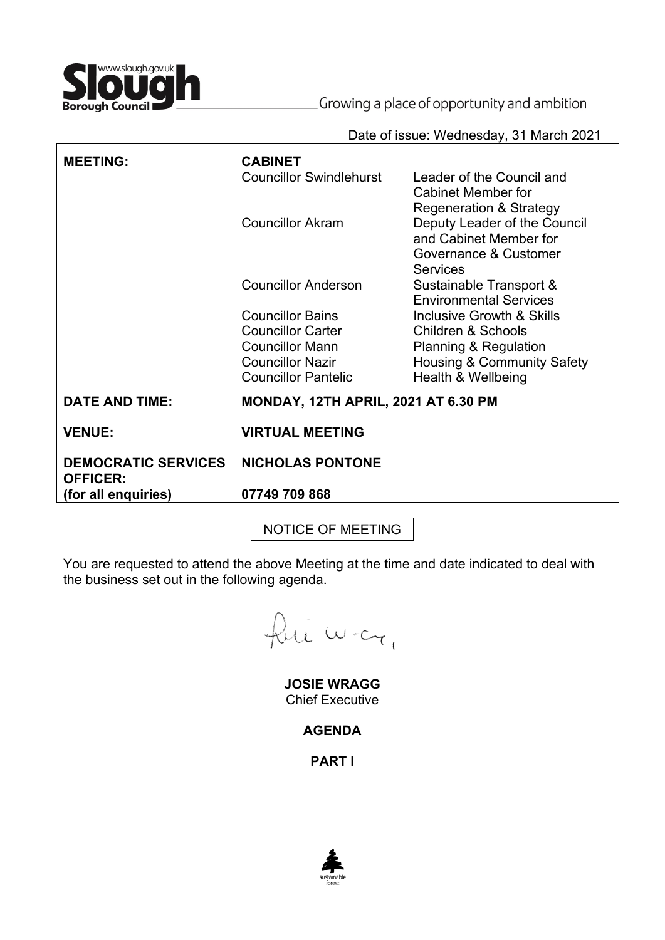

Growing a place of opportunity and ambition

Date of issue: Wednesday, 31 March 2021

| <b>MEETING:</b>                               | <b>CABINET</b><br><b>Councillor Swindlehurst</b> | Leader of the Council and<br>Cabinet Member for<br><b>Regeneration &amp; Strategy</b>       |
|-----------------------------------------------|--------------------------------------------------|---------------------------------------------------------------------------------------------|
|                                               | <b>Councillor Akram</b>                          | Deputy Leader of the Council<br>and Cabinet Member for<br>Governance & Customer<br>Services |
|                                               | <b>Councillor Anderson</b>                       | Sustainable Transport &<br><b>Environmental Services</b>                                    |
|                                               | <b>Councillor Bains</b>                          | Inclusive Growth & Skills                                                                   |
|                                               | <b>Councillor Carter</b>                         | Children & Schools                                                                          |
|                                               | <b>Councillor Mann</b>                           | Planning & Regulation                                                                       |
|                                               | <b>Councillor Nazir</b>                          | <b>Housing &amp; Community Safety</b>                                                       |
|                                               | <b>Councillor Pantelic</b>                       | Health & Wellbeing                                                                          |
| <b>DATE AND TIME:</b>                         | <b>MONDAY, 12TH APRIL, 2021 AT 6.30 PM</b>       |                                                                                             |
| <b>VENUE:</b>                                 | <b>VIRTUAL MEETING</b>                           |                                                                                             |
| <b>DEMOCRATIC SERVICES</b><br><b>OFFICER:</b> | <b>NICHOLAS PONTONE</b>                          |                                                                                             |
| (for all enquiries)                           | 07749 709 868                                    |                                                                                             |
|                                               |                                                  |                                                                                             |

NOTICE OF MEETING

You are requested to attend the above Meeting at the time and date indicated to deal with the business set out in the following agenda.

fut war,

**JOSIE WRAGG** Chief Executive

**AGENDA**

**PART I**